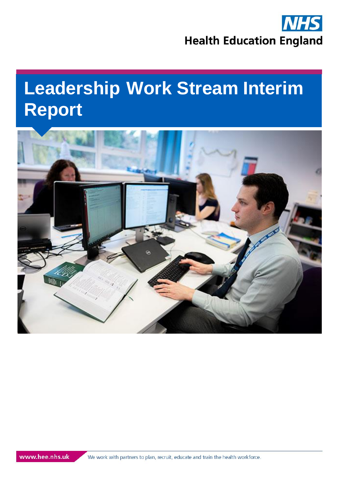

# **Leadership Work Stream Interim Report**



We work with partners to plan, recruit, educate and train the health workforce.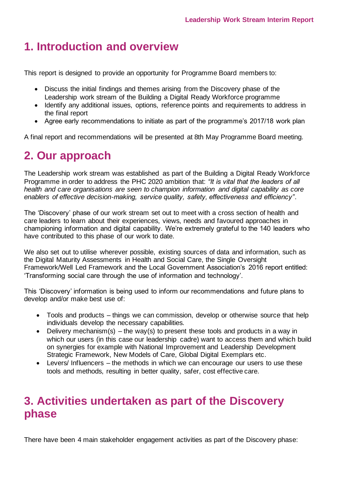### **1. Introduction and overview**

This report is designed to provide an opportunity for Programme Board members to:

- Discuss the initial findings and themes arising from the Discovery phase of the Leadership work stream of the Building a Digital Ready Workforce programme
- Identify any additional issues, options, reference points and requirements to address in the final report
- Agree early recommendations to initiate as part of the programme's 2017/18 work plan

A final report and recommendations will be presented at 8th May Programme Board meeting.

# **2. Our approach**

The Leadership work stream was established as part of the Building a Digital Ready Workforce Programme in order to address the PHC 2020 ambition that: *"It is vital that the leaders of all health and care organisations are seen to champion information and digital capability as core enablers of effective decision-making, service quality, safety, effectiveness and efficiency"*.

The 'Discovery' phase of our work stream set out to meet with a cross section of health and care leaders to learn about their experiences, views, needs and favoured approaches in championing information and digital capability. We're extremely grateful to the 140 leaders who have contributed to this phase of our work to date.

We also set out to utilise wherever possible, existing sources of data and information, such as the Digital Maturity Assessments in Health and Social Care, the Single Oversight Framework/Well Led Framework and the Local Government Association's 2016 report entitled: 'Transforming social care through the use of information and technology'.

This 'Discovery' information is being used to inform our recommendations and future plans to develop and/or make best use of:

- Tools and products things we can commission, develop or otherwise source that help individuals develop the necessary capabilities.
- Delivery mechanism(s) the way(s) to present these tools and products in a way in which our users (in this case our leadership cadre) want to access them and which build on synergies for example with National Improvement and Leadership Development Strategic Framework, New Models of Care, Global Digital Exemplars etc.
- Levers/ Influencers the methods in which we can encourage our users to use these tools and methods, resulting in better quality, safer, cost effective care.

### **3. Activities undertaken as part of the Discovery phase**

There have been 4 main stakeholder engagement activities as part of the Discovery phase: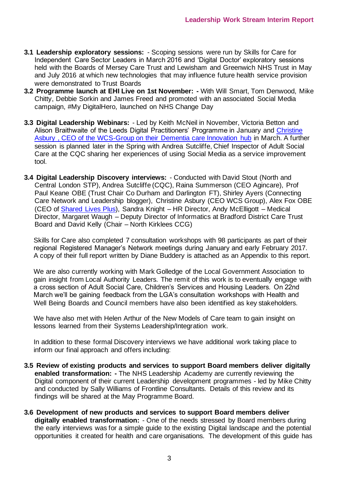- **3.1 Leadership exploratory sessions:**  Scoping sessions were run by Skills for Care for Independent Care Sector Leaders in March 2016 and 'Digital Doctor' exploratory sessions held with the Boards of Mersey Care Trust and Lewisham and Greenwich NHS Trust in May and July 2016 at which new technologies that may influence future health service provision were demonstrated to Trust Boards
- **3.2 Programme launch at EHI Live on 1st November: -** With Will Smart, Tom Denwood, Mike Chitty, Debbie Sorkin and James Freed and promoted with an associated Social Media campaign, #My DigitalHero, launched on NHS Change Day
- **3.3 Digital Leadership Webinars:**  Led by Keith McNeil in November, Victoria Betton and Alison Braithwaite of the Leeds Digital Practitioners' Programme in January and Christine [Asbury , CEO of the WCS-Group on their Dementia care Innovation hub](https://digileaders.com/looking-wrong-end-telescope-improving-experience-older-people-technology/) in March. A further session is planned later in the Spring with Andrea Sutcliffe, Chief Inspector of Adult Social Care at the CQC sharing her experiences of using Social Media as a service improvement tool.
- **3.4 Digital Leadership Discovery interviews:**  Conducted with David Stout (North and Central London STP), Andrea Sutcliffe (CQC), Raina Summerson (CEO Agincare), Prof Paul Keane OBE (Trust Chair Co Durham and Darlington FT), Shirley Ayers (Connecting Care Network and Leadership blogger), Christine Asbury (CEO WCS Group), Alex Fox OBE (CEO of [Shared Lives Plus\)](https://sharedlivesplus.org.uk/), Sandra Knight – HR Director, Andy McElligott – Medical Director, Margaret Waugh – Deputy Director of Informatics at Bradford District Care Trust Board and David Kelly (Chair – North Kirklees CCG)

Skills for Care also completed 7 consultation workshops with 98 participants as part of their regional Registered Manager's Network meetings during January and early February 2017. A copy of their full report written by Diane Buddery is attached as an Appendix to this report.

We are also currently working with Mark Golledge of the Local Government Association to gain insight from Local Authority Leaders. The remit of this work is to eventually engage with a cross section of Adult Social Care, Children's Services and Housing Leaders. On 22nd March we'll be gaining feedback from the LGA's consultation workshops with Health and Well Being Boards and Council members have also been identified as key stakeholders.

We have also met with Helen Arthur of the New Models of Care team to gain insight on lessons learned from their Systems Leadership/Integration work.

In addition to these formal Discovery interviews we have additional work taking place to inform our final approach and offers including:

- **3.5 Review of existing products and services to support Board members deliver digitally enabled transformation: -** The NHS Leadership Academy are currently reviewing the Digital component of their current Leadership development programmes - led by Mike Chitty and conducted by Sally Williams of Frontline Consultants. Details of this review and its findings will be shared at the May Programme Board.
- **3.6 Development of new products and services to support Board members deliver digitally enabled transformation:** - One of the needs stressed by Board members during the early interviews was for a simple guide to the existing Digital landscape and the potential opportunities it created for health and care organisations. The development of this guide has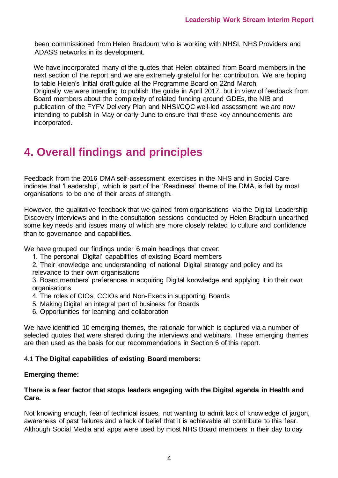been commissioned from Helen Bradburn who is working with NHSI, NHS Providers and ADASS networks in its development.

We have incorporated many of the quotes that Helen obtained from Board members in the next section of the report and we are extremely grateful for her contribution. We are hoping to table Helen's initial draft guide at the Programme Board on 22nd March. Originally we were intending to publish the guide in April 2017, but in view of feedback from Board members about the complexity of related funding around GDEs, the NIB and publication of the FYFV Delivery Plan and NHSI/CQC well-led assessment we are now intending to publish in May or early June to ensure that these key announcements are incorporated.

## **4. Overall findings and principles**

Feedback from the 2016 DMA self-assessment exercises in the NHS and in Social Care indicate that 'Leadership', which is part of the 'Readiness' theme of the DMA, is felt by most organisations to be one of their areas of strength.

However, the qualitative feedback that we gained from organisations via the Digital Leadership Discovery Interviews and in the consultation sessions conducted by Helen Bradburn unearthed some key needs and issues many of which are more closely related to culture and confidence than to governance and capabilities.

We have grouped our findings under 6 main headings that cover:

1. The personal 'Digital' capabilities of existing Board members

2. Their knowledge and understanding of national Digital strategy and policy and its relevance to their own organisations

3. Board members' preferences in acquiring Digital knowledge and applying it in their own **organisations** 

- 4. The roles of CIOs, CCIOs and Non-Execs in supporting Boards
- 5. Making Digital an integral part of business for Boards
- 6. Opportunities for learning and collaboration

We have identified 10 emerging themes, the rationale for which is captured via a number of selected quotes that were shared during the interviews and webinars. These emerging themes are then used as the basis for our recommendations in Section 6 of this report.

#### 4.1 **The Digital capabilities of existing Board members:**

#### **Emerging theme:**

#### **There is a fear factor that stops leaders engaging with the Digital agenda in Health and Care.**

Not knowing enough, fear of technical issues, not wanting to admit lack of knowledge of jargon, awareness of past failures and a lack of belief that it is achievable all contribute to this fear. Although Social Media and apps were used by most NHS Board members in their day to day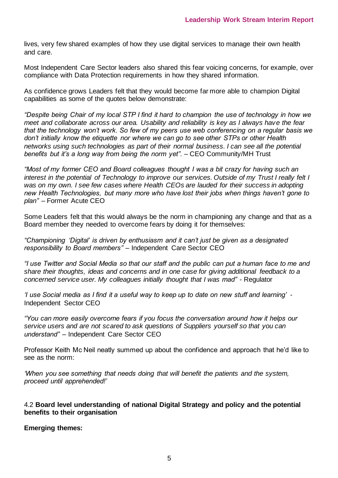lives, very few shared examples of how they use digital services to manage their own health and care.

Most Independent Care Sector leaders also shared this fear voicing concerns, for example, over compliance with Data Protection requirements in how they shared information.

As confidence grows Leaders felt that they would become far more able to champion Digital capabilities as some of the quotes below demonstrate:

*"Despite being Chair of my local STP I find it hard to champion the use of technology in how we meet and collaborate across our area. Usability and reliability is key as I always have the fear that the technology won't work. So few of my peers use web conferencing on a regular basis we don't initially know the etiquette nor where we can go to see other STPs or other Health networks using such technologies as part of their normal business. I can see all the potential benefits but it's a long way from being the norm yet".* – CEO Community/MH Trust

*"Most of my former CEO and Board colleagues thought I was a bit crazy for having such an interest in the potential of Technology to improve our services. Outside of my Trust I really felt I*  was on my own. I see few cases where Health CEOs are lauded for their success in adopting *new Health Technologies, but many more who have lost their jobs when things haven't gone to plan"* – Former Acute CEO

Some Leaders felt that this would always be the norm in championing any change and that as a Board member they needed to overcome fears by doing it for themselves:

*"Championing 'Digital' is driven by enthusiasm and it can't just be given as a designated responsibility to Board members" –* Independent Care Sector CEO

*"I use Twitter and Social Media so that our staff and the public can put a human face to me and share their thoughts, ideas and concerns and in one case for giving additional feedback to a concerned service user. My colleagues initially thought that I was mad"* - Regulator

*'I use Social media as I find it a useful way to keep up to date on new stuff and learning'* - Independent Sector CEO

*"You can more easily overcome fears if you focus the conversation around how it helps our service users and are not scared to ask questions of Suppliers yourself so that you can understand"* – Independent Care Sector CEO

Professor Keith Mc Neil neatly summed up about the confidence and approach that he'd like to see as the norm:

*'When you see something that needs doing that will benefit the patients and the system, proceed until apprehended!'* 

#### 4.2 **Board level understanding of national Digital Strategy and policy and the potential benefits to their organisation**

**Emerging themes:**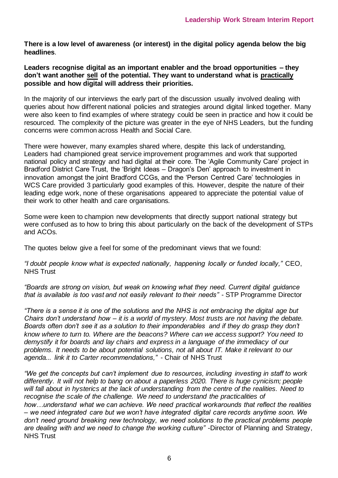**There is a low level of awareness (or interest) in the digital policy agenda below the big headlines**.

**Leaders recognise digital as an important enabler and the broad opportunities – they don't want another sell of the potential. They want to understand what is practically possible and how digital will address their priorities.** 

In the majority of our interviews the early part of the discussion usually involved dealing with queries about how different national policies and strategies around digital linked together. Many were also keen to find examples of where strategy could be seen in practice and how it could be resourced. The complexity of the picture was greater in the eye of NHS Leaders, but the funding concerns were common across Health and Social Care.

There were however, many examples shared where, despite this lack of understanding, Leaders had championed great service improvement programmes and work that supported national policy and strategy and had digital at their core. The 'Agile Community Care' project in Bradford District Care Trust, the 'Bright Ideas – Dragon's Den' approach to investment in innovation amongst the joint Bradford CCGs, and the 'Person Centred Care' technologies in WCS Care provided 3 particularly good examples of this. However, despite the nature of their leading edge work, none of these organisations appeared to appreciate the potential value of their work to other health and care organisations.

Some were keen to champion new developments that directly support national strategy but were confused as to how to bring this about particularly on the back of the development of STPs and ACOs.

The quotes below give a feel for some of the predominant views that we found:

*"I doubt people know what is expected nationally, happening locally or funded locally,"* CEO, NHS Trust

*"Boards are strong on vision, but weak on knowing what they need. Current digital guidance that is available is too vast and not easily relevant to their needs"* - STP Programme Director

*"There is a sense it is one of the solutions and the NHS is not embracing the digital age but Chairs don't understand how – it is a world of mystery. Most trusts are not having the debate. Boards often don't see it as a solution to their imponderables and if they do grasp they don't know where to turn to. Where are the beacons? Where can we access support? You need to demystify it for boards and lay chairs and express in a language of the immediacy of our problems. It needs to be about potential solutions, not all about IT. Make it relevant to our agenda... link it to Carter recommendations,"* - Chair of NHS Trust

*"We get the concepts but can't implement due to resources, including investing in staff to work differently. It will not help to bang on about a paperless 2020. There is huge cynicism; people will fall about in hysterics at the lack of understanding from the centre of the realities. Need to recognise the scale of the challenge. We need to understand the practicalities of how…understand what we can achieve. We need practical workarounds that reflect the realities – we need integrated care but we won't have integrated digital care records anytime soon. We don't need ground breaking new technology, we need solutions to the practical problems people*  are dealing with and we need to change the working culture" -Director of Planning and Strategy, NHS Trust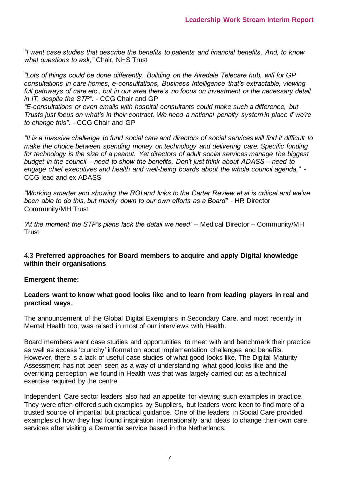*"I want case studies that describe the benefits to patients and financial benefits. And, to know what questions to ask,"* Chair, NHS Trust

*"Lots of things could be done differently. Building on the Airedale Telecare hub, wifi for GP consultations in care homes, e-consultations, Business Intelligence that's extractable, viewing full pathways of care etc., but in our area there's no focus on investment or the necessary detail in IT, despite the STP".* - CCG Chair and GP

*"E-consultations or even emails with hospital consultants could make such a difference, but Trusts just focus on what's in their contract. We need a national penalty system in place if we're to change this"*. - CCG Chair and GP

*"It is a massive challenge to fund social care and directors of social services will find it difficult to make the choice between spending money on technology and delivering care. Specific funding for technology is the size of a peanut. Yet directors of adult social services manage the biggest budget in the council – need to show the benefits. Don't just think about ADASS – need to engage chief executives and health and well-being boards about the whole council agenda,"* - CCG lead and ex ADASS

*"Working smarter and showing the ROI and links to the Carter Review et al is critical and we've been able to do this, but mainly down to our own efforts as a Board" -* HR Director Community/MH Trust

*'At the moment the STP's plans lack the detail we need' –* Medical Director – Community/MH **Trust** 

#### 4.3 **Preferred approaches for Board members to acquire and apply Digital knowledge within their organisations**

#### **Emergent theme:**

#### **Leaders want to know what good looks like and to learn from leading players in real and practical ways**.

The announcement of the Global Digital Exemplars in Secondary Care, and most recently in Mental Health too, was raised in most of our interviews with Health.

Board members want case studies and opportunities to meet with and benchmark their practice as well as access 'crunchy' information about implementation challenges and benefits. However, there is a lack of useful case studies of what good looks like. The Digital Maturity Assessment has not been seen as a way of understanding what good looks like and the overriding perception we found in Health was that was largely carried out as a technical exercise required by the centre.

Independent Care sector leaders also had an appetite for viewing such examples in practice. They were often offered such examples by Suppliers, but leaders were keen to find more of a trusted source of impartial but practical guidance. One of the leaders in Social Care provided examples of how they had found inspiration internationally and ideas to change their own care services after visiting a Dementia service based in the Netherlands.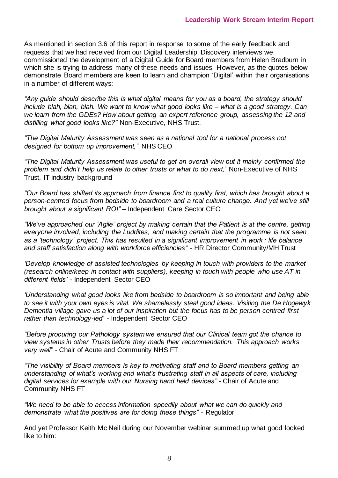As mentioned in section 3.6 of this report in response to some of the early feedback and requests that we had received from our Digital Leadership Discovery interviews we commissioned the development of a Digital Guide for Board members from Helen Bradburn in which she is trying to address many of these needs and issues. However, as the quotes below demonstrate Board members are keen to learn and champion 'Digital' within their organisations in a number of different ways:

*"Any guide should describe this is what digital means for you as a board, the strategy should include blah, blah, blah. We want to know what good looks like – what is a good strategy. Can we learn from the GDEs? How about getting an expert reference group, assessing the 12 and distilling what good looks like?"* Non-Executive, NHS Trust.

*"The Digital Maturity Assessment was seen as a national tool for a national process not designed for bottom up improvement,"* NHS CEO

*"The Digital Maturity Assessment was useful to get an overall view but it mainly confirmed the problem and didn't help us relate to other trusts or what to do next,"* Non-Executive of NHS Trust, IT industry background

*"Our Board has shifted its approach from finance first to quality first, which has brought about a person-centred focus from bedside to boardroom and a real culture change. And yet we've still brought about a significant ROI" –* Independent Care Sector CEO

*"We've approached our 'Agile' project by making certain that the Patient is at the centre, getting everyone involved, including the Luddites, and making certain that the programme is not seen as a 'technology' project. This has resulted in a significant improvement in work : life balance and staff satisfaction along with workforce efficiencies*" - HR Director Community/MH Trust

*'Develop knowledge of assisted technologies by keeping in touch with providers to the market (research online/keep in contact with suppliers), keeping in touch with people who use AT in different fields' -* Independent Sector CEO

*'Understanding what good looks like from bedside to boardroom is so important and being able to see it with your own eyes is vital. We shamelessly steal good ideas. Visiting the De Hogewyk Dementia village gave us a lot of our inspiration but the focus has to be person centred first rather than technology-led'* - Independent Sector CEO

*"Before procuring our Pathology system we ensured that our Clinical team got the chance to view systems in other Trusts before they made their recommendation. This approach works very well"* - Chair of Acute and Community NHS FT

*"The visibility of Board members is key to motivating staff and to Board members getting an understanding of what's working and what's frustrating staff in all aspects of care, including digital services for example with our Nursing hand held devices"* - Chair of Acute and Community NHS FT

*"We need to be able to access information speedily about what we can do quickly and demonstrate what the positives are for doing these things"* - Regulator

And yet Professor Keith Mc Neil during our November webinar summed up what good looked like to him: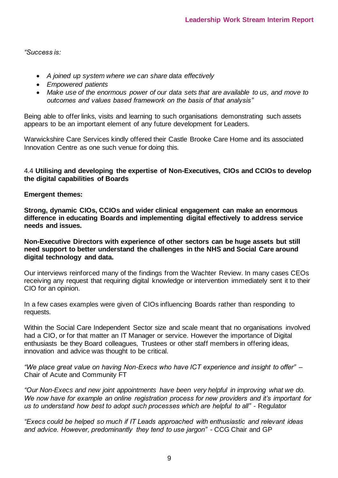*"Success is:* 

- *A joined up system where we can share data effectively*
- *Empowered patients*
- *Make use of the enormous power of our data sets that are available to us, and move to outcomes and values based framework on the basis of that analysis"*

Being able to offer links, visits and learning to such organisations demonstrating such assets appears to be an important element of any future development for Leaders*.* 

Warwickshire Care Services kindly offered their Castle Brooke Care Home and its associated Innovation Centre as one such venue for doing this.

#### 4.4 **Utilising and developing the expertise of Non-Executives, CIOs and CCIOs to develop the digital capabilities of Boards**

#### **Emergent themes:**

**Strong, dynamic CIOs, CCIOs and wider clinical engagement can make an enormous difference in educating Boards and implementing digital effectively to address service needs and issues.** 

**Non-Executive Directors with experience of other sectors can be huge assets but still need support to better understand the challenges in the NHS and Social Care around digital technology and data.** 

Our interviews reinforced many of the findings from the Wachter Review. In many cases CEOs receiving any request that requiring digital knowledge or intervention immediately sent it to their CIO for an opinion.

In a few cases examples were given of CIOs influencing Boards rather than responding to requests.

Within the Social Care Independent Sector size and scale meant that no organisations involved had a CIO, or for that matter an IT Manager or service. However the importance of Digital enthusiasts be they Board colleagues, Trustees or other staff members in offering ideas, innovation and advice was thought to be critical.

*"We place great value on having Non-Execs who have ICT experience and insight to offer" –* Chair of Acute and Community FT

*"Our Non-Execs and new joint appointments have been very helpful in improving what we do. We now have for example an online registration process for new providers and it's important for us to understand how best to adopt such processes which are helpful to all" -* Regulator

*"Execs could be helped so much if IT Leads approached with enthusiastic and relevant ideas and advice. However, predominantly they tend to use jargon"* - CCG Chair and GP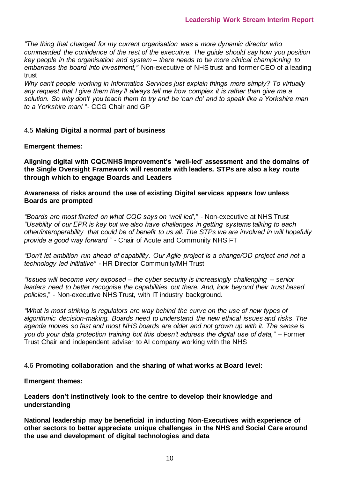*"The thing that changed for my current organisation was a more dynamic director who commanded the confidence of the rest of the executive. The guide should say how you position key people in the organisation and system – there needs to be more clinical championing to embarrass the board into investment,"* Non-executive of NHS trust and former CEO of a leading trust

*Why can't people working in Informatics Services just explain things more simply? To virtually any request that I give them they'll always tell me how complex it is rather than give me a solution. So why don't you teach them to try and be 'can do' and to speak like a Yorkshire man to a Yorkshire man!* "- CCG Chair and GP

#### 4.5 **Making Digital a normal part of business**

#### **Emergent themes:**

**Aligning digital with CQC/NHS Improvement's 'well-led' assessment and the domains of the Single Oversight Framework will resonate with leaders. STPs are also a key route through which to engage Boards and Leaders** 

**Awareness of risks around the use of existing Digital services appears low unless Boards are prompted** 

*"Boards are most fixated on what CQC says on 'well led',"* - Non-executive at NHS Trust *"Usability of our EPR is key but we also have challenges in getting systems talking to each other/interoperability that could be of benefit to us all. The STPs we are involved in will hopefully provide a good way forward "* - Chair of Acute and Community NHS FT

*"Don't let ambition run ahead of capability. Our Agile project is a change/OD project and not a technology led initiative"* - HR Director Community/MH Trust

*"Issues will become very exposed – the cyber security is increasingly challenging – senior leaders need to better recognise the capabilities out there. And, look beyond their trust based policies*," - Non-executive NHS Trust, with IT industry background.

*"What is most striking is regulators are way behind the curve on the use of new types of algorithmic decision-making. Boards need to understand the new ethical issues and risks. The agenda moves so fast and most NHS boards are older and not grown up with it. The sense is*  you do your data protection training but this doesn't address the digital use of data," – Former Trust Chair and independent adviser to AI company working with the NHS

#### 4.6 **Promoting collaboration and the sharing of what works at Board level:**

**Emergent themes:** 

**Leaders don't instinctively look to the centre to develop their knowledge and understanding** 

**National leadership may be beneficial in inducting Non-Executives with experience of other sectors to better appreciate unique challenges in the NHS and Social Care around the use and development of digital technologies and data**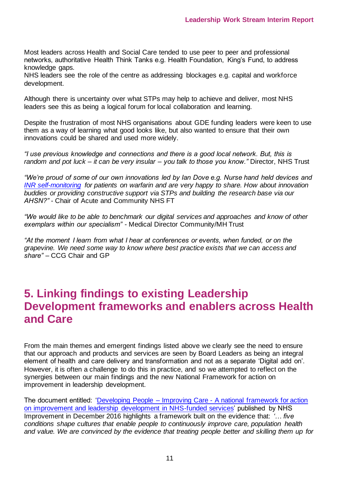Most leaders across Health and Social Care tended to use peer to peer and professional networks, authoritative Health Think Tanks e.g. Health Foundation, King's Fund, to address knowledge gaps.

NHS leaders see the role of the centre as addressing blockages e.g. capital and workforce development.

Although there is uncertainty over what STPs may help to achieve and deliver, most NHS leaders see this as being a logical forum for local collaboration and learning.

Despite the frustration of most NHS organisations about GDE funding leaders were keen to use them as a way of learning what good looks like, but also wanted to ensure that their own innovations could be shared and used more widely.

*"I use previous knowledge and connections and there is a good local network. But, this is random and pot luck – it can be very insular – you talk to those you know."* Director, NHS Trust

*"We're proud of some of our own innovations led by Ian Dove e.g. Nurse hand held devices and [INR self-monitoring](https://www.nhshealthcall.co.uk/resource/inr-self-testing-patient/) for patients on warfarin and are very happy to share. How about innovation buddies or providing constructive support via STPs and building the research base via our AHSN?"* - Chair of Acute and Community NHS FT

*"We would like to be able to benchmark our digital services and approaches and know of other exemplars within our specialism"* - Medical Director Community/MH Trust

*"At the moment I learn from what I hear at conferences or events, when funded, or on the grapevine. We need some way to know where best practice exists that we can access and share"* – CCG Chair and GP

### **5. Linking findings to existing Leadership Development frameworks and enablers across Health and Care**

From the main themes and emergent findings listed above we clearly see the need to ensure that our approach and products and services are seen by Board Leaders as being an integral element of health and care delivery and transformation and not as a separate 'Digital add on'. However, it is often a challenge to do this in practice, and so we attempted to reflect on the synergies between our main findings and the new National Framework for action on improvement in leadership development.

The document entitled: 'Developing People – Improving Care - [A national framework for action](https://eoe.leadershipacademy.nhs.uk/wp-content/uploads/sites/6/2019/04/10591-NHS_-Improving_Care-Summary.pdf)  [on improvement and leadership development in NHS-funded services'](https://eoe.leadershipacademy.nhs.uk/wp-content/uploads/sites/6/2019/04/10591-NHS_-Improving_Care-Summary.pdf) published by NHS Improvement in December 2016 highlights a framework built on the evidence that: *'… five conditions shape cultures that enable people to continuously improve care, population health and value. We are convinced by the evidence that treating people better and skilling them up for*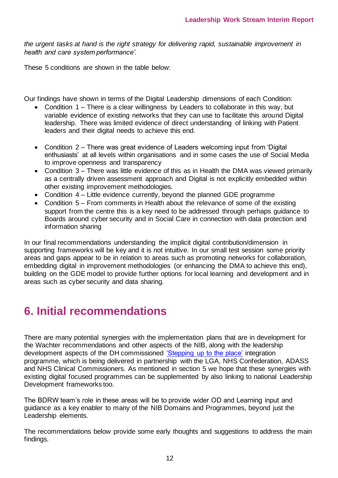*the urgent tasks at hand is the right strategy for delivering rapid, sustainable improvement in health and care system performance'.* 

These 5 conditions are shown in the table below:

Our findings have shown in terms of the Digital Leadership dimensions of each Condition:

- Condition 1 There is a clear willingness by Leaders to collaborate in this way, but variable evidence of existing networks that they can use to facilitate this around Digital leadership. There was limited evidence of direct understanding of linking with Patient leaders and their digital needs to achieve this end.
- Condition 2 There was great evidence of Leaders welcoming input from 'Digital enthusiasts' at all levels within organisations and in some cases the use of Social Media to improve openness and transparency
- Condition 3 There was little evidence of this as in Health the DMA was viewed primarily as a centrally driven assessment approach and Digital is not explicitly embedded within other existing improvement methodologies.
- Condition 4 Little evidence currently, beyond the planned GDE programme
- Condition 5 From comments in Health about the relevance of some of the existing support from the centre this is a key need to be addressed through perhaps guidance to Boards around cyber security and in Social Care in connection with data protection and information sharing

In our final recommendations understanding the implicit digital contribution/dimension in supporting frameworks will be key and it is not intuitive. In our small test session some priority areas and gaps appear to be in relation to areas such as promoting networks for collaboration, embedding digital in improvement methodologies (or enhancing the DMA to achieve this end), building on the GDE model to provide further options for local learning and development and in areas such as cyber security and data sharing.

## **6. Initial recommendations**

There are many potential synergies with the implementation plans that are in development for the Wachter recommendations and other aspects of the NIB, along with the leadership development aspects of the DH commissioned ['Stepping up to the place'](https://www.nhscc.org/latest-news/stepping-up-toolkit/) integration programme, which is being delivered in partnership with the LGA, NHS Confederation, ADASS and NHS Clinical Commissioners. As mentioned in section 5 we hope that these synergies with existing digital focused programmes can be supplemented by also linking to national Leadership Development frameworks too.

The BDRW team's role in these areas will be to provide wider OD and Learning input and guidance as a key enabler to many of the NIB Domains and Programmes, beyond just the Leadership elements.

The recommendations below provide some early thoughts and suggestions to address the main findings.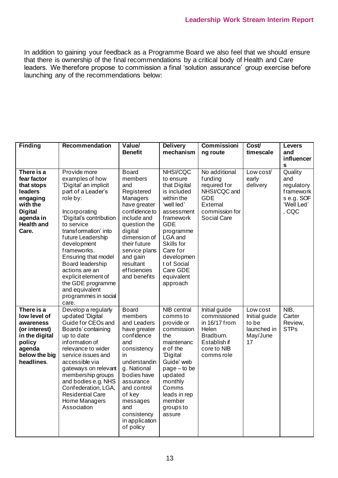In addition to gaining your feedback as a Programme Board we also feel that we should ensure that there is ownership of the final recommendations by a critical body of Health and Care leaders. We therefore propose to commission a final 'solution assurance' group exercise before launching any of the recommendations below:

| <b>Finding</b>                                                                                                                          | Recommendation                                                                                                                                                                                                                                                                                                                                                                              | Value/<br><b>Benefit</b>                                                                                                                                                                                                                              | <b>Delivery</b><br>mechanism                                                                                                                                                                                                                          | <b>Commissioni</b><br>ng route                                                                                      | Cost/<br>timescale                                                  | <b>Levers</b><br>and<br>influencer<br>S                                        |
|-----------------------------------------------------------------------------------------------------------------------------------------|---------------------------------------------------------------------------------------------------------------------------------------------------------------------------------------------------------------------------------------------------------------------------------------------------------------------------------------------------------------------------------------------|-------------------------------------------------------------------------------------------------------------------------------------------------------------------------------------------------------------------------------------------------------|-------------------------------------------------------------------------------------------------------------------------------------------------------------------------------------------------------------------------------------------------------|---------------------------------------------------------------------------------------------------------------------|---------------------------------------------------------------------|--------------------------------------------------------------------------------|
| There is a<br>fear factor<br>that stops<br>leaders<br>engaging<br>with the<br><b>Digital</b><br>agenda in<br><b>Health and</b><br>Care. | Provide more<br>examples of how<br>'Digital' an implicit<br>part of a Leader's<br>role by:<br>Incorporating<br>'Digital's contribution<br>to service<br>transformation' into<br>future Leadership<br>development<br>frameworks.<br>Ensuring that model<br>Board leadership<br>actions are an<br>explicit element of<br>the GDE programme<br>and equivalent<br>programmes in social<br>care. | <b>Board</b><br>members<br>and<br>Registered<br>Managers<br>have greater<br>confidence to<br>include and<br>question the<br>digital<br>dimension of<br>their future<br>service plans<br>and gain<br>resultant<br>efficiencies<br>and benefits         | <b>NHSI/CQC</b><br>to ensure<br>that Digital<br>is included<br>within the<br>'well led'<br>assessment<br>framework<br><b>GDE</b><br>programme<br>LGA and<br>Skills for<br>Care for<br>developmen<br>t of Social<br>Care GDE<br>equivalent<br>approach | No additional<br>funding<br>required for<br>NHSI/CQC and<br><b>GDE</b><br>External<br>commission for<br>Social Care | Low cost/<br>early<br>delivery                                      | Quality<br>and<br>regulatory<br>framework<br>s e.g. SOF<br>'Well Led'<br>, CQC |
| There is a<br>low level of<br>awareness<br>(or interest)<br>in the digital<br>policy<br>agenda<br>below the big<br>headlines.           | Develop a regularly<br>updated 'Digital<br>Guide for CEOs and<br>Boards' containing<br>up to date<br>information of<br>relevance to wider<br>service issues and<br>accessible via<br>gateways on relevant<br>membership groups<br>and bodies e.g. NHS<br>Confederation, LGA,<br><b>Residential Care</b><br>Home Managers<br>Association                                                     | <b>Board</b><br>members<br>and Leaders<br>have greater<br>confidence<br>and<br>consistency<br>in<br>understandin<br>g. National<br>bodies have<br>assurance<br>and control<br>of key<br>messages<br>and<br>consistency<br>in application<br>of policy | <b>NIB</b> central<br>comms to<br>provide or<br>commission<br>the<br>maintenanc<br>e of the<br>'Digital<br>Guide' web<br>$page - to be$<br>updated<br>monthly<br>Comms<br>leads in rep<br>member<br>groups to<br>assure                               | Initial guide<br>commissioned<br>in 16/17 from<br>Helen<br>Bradburn.<br>Establish if<br>core to NIB<br>comms role   | Low cost<br>Initial guide<br>to be<br>launched in<br>May/June<br>17 | $NIB$ ,<br>Carter<br>Review,<br><b>STPs</b>                                    |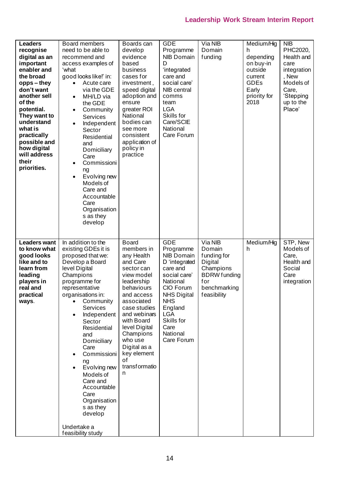### **Leadership Work Stream Interim Report**

| <b>Leaders</b><br>recognise<br>digital as an<br>important<br>enabler and<br>the broad<br>opps – they<br>don't want<br>another sell<br>of the<br>potential.<br>They want to<br>understand<br>what is<br>practically<br>possible and<br>how digital<br>will address<br>their<br>priorities. | Board members<br>need to be able to<br>recommend and<br>access examples of<br>ʻwhat<br>good looks like!' in:<br>Acute care<br>via the GDE<br>MH/LD via<br>$\bullet$<br>the GDE<br>Community<br>$\bullet$<br>Services<br>Independent<br>$\bullet$<br>Sector<br>Residential<br>and<br>Domiciliary<br>Care<br>Commissioni<br>ng<br>Evolving new<br>$\bullet$<br>Models of<br>Care and<br>Accountable<br>Care<br>Organisation<br>s as they<br>develop | Boards can<br>develop<br>evidence<br>based<br>business<br>cases for<br>investment,<br>speed digital<br>adoption and<br>ensure<br>greater ROI<br>National<br>bodies can<br>see more<br>consistent<br>application of<br>policy in<br>practice                                                | <b>GDE</b><br>Programme<br><b>NIB Domain</b><br>D<br>'integrated<br>care and<br>social care'<br>NIB central<br>comms<br>team<br><b>LGA</b><br>Skills for<br>Care/SCIE<br>National<br>Care Forum                                 | Via NIB<br>Domain<br>funding                                                                                          | Medium/Hig<br>h<br>depending<br>on buy-in<br>outside<br>current<br><b>GDEs</b><br>Early<br>priority for<br>2018 | <b>NIB</b><br>PHC2020,<br>Health and<br>care<br>integration<br>, New<br>Models of<br>Care,<br>'Stepping<br>up to the<br>Place' |
|-------------------------------------------------------------------------------------------------------------------------------------------------------------------------------------------------------------------------------------------------------------------------------------------|---------------------------------------------------------------------------------------------------------------------------------------------------------------------------------------------------------------------------------------------------------------------------------------------------------------------------------------------------------------------------------------------------------------------------------------------------|--------------------------------------------------------------------------------------------------------------------------------------------------------------------------------------------------------------------------------------------------------------------------------------------|---------------------------------------------------------------------------------------------------------------------------------------------------------------------------------------------------------------------------------|-----------------------------------------------------------------------------------------------------------------------|-----------------------------------------------------------------------------------------------------------------|--------------------------------------------------------------------------------------------------------------------------------|
| <b>Leaders want</b><br>to know what<br>good looks<br>like and to<br>learn from<br>leading<br>players in<br>real and<br>practical<br>ways.                                                                                                                                                 | In addition to the<br>existing GDEs it is<br>proposed that we:<br>Develop a Board<br>level Digital<br>Champions<br>programme for<br>representative<br>organisations in:<br>Community<br><b>Services</b><br>Independent<br>Sector<br>Residential<br>and<br>Domiciliary<br>Care<br>Commissioni<br>ng<br>Evolving new<br>Models of<br>Care and<br>Accountable<br>Care<br>Organisation<br>s as they<br>develop<br>Undertake a<br>feasibility study    | <b>Board</b><br>members in<br>any Health<br>and Care<br>sector can<br>view model<br>leadership<br>behaviours<br>and access<br>associated<br>case studies<br>and webinars<br>with Board<br>level Digital<br>Champions<br>who use<br>Digital as a<br>key element<br>of<br>transformatio<br>n | <b>GDE</b><br>Programme<br><b>NIB Domain</b><br>D 'integrated<br>care and<br>social care'<br>National<br>CIO Forum<br><b>NHS Digital</b><br><b>NHS</b><br>England<br><b>LGA</b><br>Skills for<br>Care<br>National<br>Care Forum | Via NIB<br>Domain<br>funding for<br>Digital<br>Champions<br><b>BDRW</b> funding<br>for<br>benchmarking<br>feasibility | Medium/Hig<br>h                                                                                                 | STP, New<br>Models of<br>Care,<br>Health and<br>Social<br>Care<br>integration                                                  |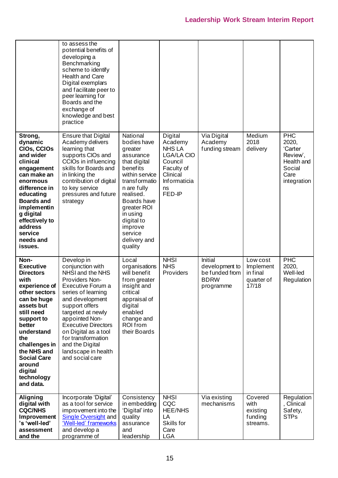|                                                                                                                                                                                                                                                                                      | to assess the<br>potential benefits of<br>developing a<br>Benchmarking<br>scheme to identify<br><b>Health and Care</b><br>Digital exemplars<br>and facilitate peer to<br>peer learning for<br>Boards and the<br>exchange of<br>knowledge and best<br>practice                                                                        |                                                                                                                                                                                                                                                     |                                                                                                                                      |                                                                         |                                                          |                                                                                           |
|--------------------------------------------------------------------------------------------------------------------------------------------------------------------------------------------------------------------------------------------------------------------------------------|--------------------------------------------------------------------------------------------------------------------------------------------------------------------------------------------------------------------------------------------------------------------------------------------------------------------------------------|-----------------------------------------------------------------------------------------------------------------------------------------------------------------------------------------------------------------------------------------------------|--------------------------------------------------------------------------------------------------------------------------------------|-------------------------------------------------------------------------|----------------------------------------------------------|-------------------------------------------------------------------------------------------|
| Strong,<br>dynamic<br>CIOs, CCIOs<br>and wider<br>clinical<br>engagement<br>can make an<br>enormous<br>difference in<br>educating<br><b>Boards and</b><br>implementin<br>g digital<br>effectively to<br>address<br>service<br>needs and<br>issues.                                   | <b>Ensure that Digital</b><br>Academy delivers<br>learning that<br>supports CIOs and<br>CCIOs in influencing<br>skills for Boards and<br>in linking the<br>contribution of digital<br>to key service<br>pressures and future<br>strategy                                                                                             | National<br>bodies have<br>greater<br>assurance<br>that digital<br>benefits<br>within service<br>transformatio<br>n are fully<br>realised.<br>Boards have<br>greater ROI<br>in using<br>digital to<br>improve<br>service<br>delivery and<br>quality | Digital<br>Academy<br><b>NHS LA</b><br><b>LGA/LA CIO</b><br>Council<br>Faculty of<br>Clinical<br><b>Informaticia</b><br>ns<br>FED-IP | Via Digital<br>Academy<br>funding stream                                | Medium<br>2018<br>delivery                               | <b>PHC</b><br>2020,<br>'Carter<br>Review',<br>Health and<br>Social<br>Care<br>integration |
| Non-<br><b>Executive</b><br><b>Directors</b><br>with<br>experience of<br>other sectors<br>can be huge<br>assets but<br>still need<br>support to<br>better<br>understand<br>the<br>challenges in<br>the NHS and<br><b>Social Care</b><br>around<br>digital<br>technology<br>and data. | Develop in<br>conjunction with<br>NHSI and the NHS<br>Providers Non-<br>Executive Forum a<br>series of learning<br>and development<br>support offers<br>targeted at newly<br>appointed Non-<br><b>Executive Directors</b><br>on Digital as a tool<br>for transformation<br>and the Digital<br>landscape in health<br>and social care | Local<br>organisations<br>will benefit<br>from greater<br>insight and<br>critical<br>appraisal of<br>digital<br>enabled<br>change and<br>ROI from<br>their Boards                                                                                   | <b>NHSI</b><br><b>NHS</b><br>Providers                                                                                               | Initial<br>development to<br>be funded from<br><b>BDRW</b><br>programme | Low cost<br>Implement<br>in final<br>quarter of<br>17/18 | <b>PHC</b><br>2020,<br>Well-led<br>Regulation                                             |
| <b>Aligning</b><br>digital with<br><b>CQC/NHS</b><br>Improvement<br>'s 'well-led'<br>assessment<br>and the                                                                                                                                                                           | Incorporate 'Digital'<br>as a tool for service<br>improvement into the<br><b>Single Oversight and</b><br>'Well-led' frameworks<br>and develop a<br>programme of                                                                                                                                                                      | Consistency<br>in embedding<br>'Digital' into<br>quality<br>assurance<br>and<br>leadership                                                                                                                                                          | <b>NHSI</b><br>CQC<br><b>HEE/NHS</b><br>LA<br>Skills for<br>Care<br><b>LGA</b>                                                       | Via existing<br>mechanisms                                              | Covered<br>with<br>existing<br>funding<br>streams.       | Regulation<br>, Clinical<br>Safety,<br><b>STPs</b>                                        |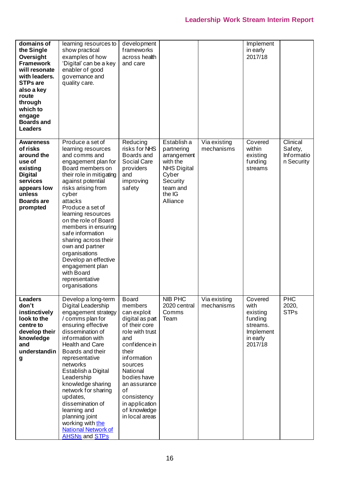### **Leadership Work Stream Interim Report**

| domains of<br>the Single<br>Oversight<br><b>Framework</b><br>will resonate<br>with leaders.<br><b>STPs are</b><br>also a key<br>route<br>through<br>which to<br>engage<br><b>Boards and</b><br><b>Leaders</b> | learning resources to<br>show practical<br>examples of how<br>'Digital' can be a key<br>enabler of good<br>governance and<br>quality care.                                                                                                                                                                                                                                                                                                                         | development<br>frameworks<br>across health<br>and care                                                                                                                                                                                                                       |                                                                                                                                   |                            | Implement<br>in early<br>2017/18                                                       |                                                        |
|---------------------------------------------------------------------------------------------------------------------------------------------------------------------------------------------------------------|--------------------------------------------------------------------------------------------------------------------------------------------------------------------------------------------------------------------------------------------------------------------------------------------------------------------------------------------------------------------------------------------------------------------------------------------------------------------|------------------------------------------------------------------------------------------------------------------------------------------------------------------------------------------------------------------------------------------------------------------------------|-----------------------------------------------------------------------------------------------------------------------------------|----------------------------|----------------------------------------------------------------------------------------|--------------------------------------------------------|
| <b>Awareness</b><br>of risks<br>around the<br>use of<br>existing<br><b>Digital</b><br>services<br>appears low<br>unless<br><b>Boards are</b><br>prompted                                                      | Produce a set of<br>learning resources<br>and comms and<br>engagement plan for<br>Board members on<br>their role in mitigating<br>against potential<br>risks arising from<br>cyber<br>attacks<br>Produce a set of<br>learning resources<br>on the role of Board<br>members in ensuring<br>safe information<br>sharing across their<br>own and partner<br>organisations<br>Develop an effective<br>engagement plan<br>with Board<br>representative<br>organisations | Reducing<br>risks for NHS<br>Boards and<br><b>Social Care</b><br>providers<br>and<br>improving<br>safety                                                                                                                                                                     | Establish a<br>partnering<br>arrangement<br>with the<br><b>NHS Digital</b><br>Cyber<br>Security<br>team and<br>the IG<br>Alliance | Via existing<br>mechanisms | Covered<br>within<br>existing<br>funding<br>streams                                    | Clinical<br>Safety,<br><b>Informatio</b><br>n Security |
| <b>Leaders</b><br>don't<br>instinctively<br>look to the<br>centre to<br>develop their<br>knowledge<br>and<br>understandin<br>g                                                                                | Develop a long-term<br>Digital Leadership<br>engagement strategy<br>/ comms plan for<br>ensuring effective<br>dissemination of<br>information with<br><b>Health and Care</b><br>Boards and their<br>representative<br>networks<br>Establish a Digital<br>Leadership<br>knowledge sharing<br>network for sharing<br>updates,<br>dissemination of<br>learning and<br>planning joint<br>working with the<br><b>National Network of</b><br><b>AHSNs and STPs</b>       | <b>Board</b><br>members<br>can exploit<br>digital as part<br>of their core<br>role with trust<br>and<br>confidence in<br>their<br>information<br>sources<br>National<br>bodies have<br>an assurance<br>οf<br>consistency<br>in application<br>of knowledge<br>in local areas | <b>NIB PHC</b><br>2020 central<br>Comms<br>Team                                                                                   | Via existing<br>mechanisms | Covered<br>with<br>existing<br>funding<br>streams.<br>Implement<br>in early<br>2017/18 | <b>PHC</b><br>2020,<br><b>STPs</b>                     |